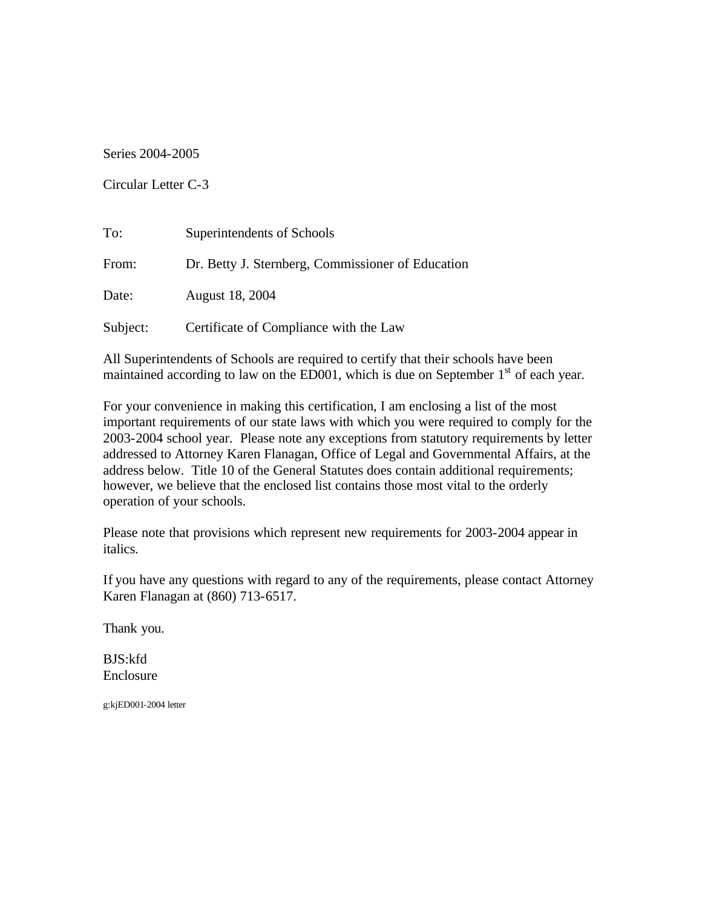Series 2004-2005

Circular Letter C-3

| To:      | Superintendents of Schools                        |
|----------|---------------------------------------------------|
| From:    | Dr. Betty J. Sternberg, Commissioner of Education |
| Date:    | August 18, 2004                                   |
| Subject: | Certificate of Compliance with the Law            |

All Superintendents of Schools are required to certify that their schools have been maintained according to law on the ED001, which is due on September  $1<sup>st</sup>$  of each year.

For your convenience in making this certification, I am enclosing a list of the most important requirements of our state laws with which you were required to comply for the 2003-2004 school year. Please note any exceptions from statutory requirements by letter addressed to Attorney Karen Flanagan, Office of Legal and Governmental Affairs, at the address below. Title 10 of the General Statutes does contain additional requirements; however, we believe that the enclosed list contains those most vital to the orderly operation of your schools.

Please note that provisions which represent new requirements for 2003-2004 appear in italics.

If you have any questions with regard to any of the requirements, please contact Attorney Karen Flanagan at (860) 713-6517.

Thank you.

BJS:kfd Enclosure

g:kjED001-2004 letter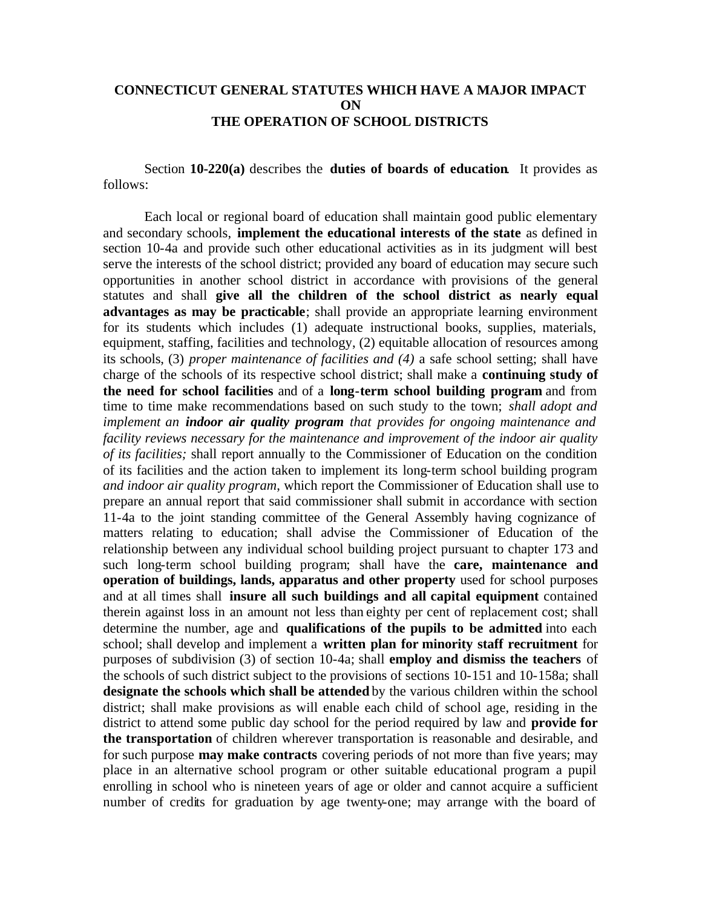## **CONNECTICUT GENERAL STATUTES WHICH HAVE A MAJOR IMPACT ON THE OPERATION OF SCHOOL DISTRICTS**

Section **10-220(a)** describes the **duties of boards of education**. It provides as follows:

Each local or regional board of education shall maintain good public elementary and secondary schools, **implement the educational interests of the state** as defined in section 10-4a and provide such other educational activities as in its judgment will best serve the interests of the school district; provided any board of education may secure such opportunities in another school district in accordance with provisions of the general statutes and shall **give all the children of the school district as nearly equal advantages as may be practicable**; shall provide an appropriate learning environment for its students which includes (1) adequate instructional books, supplies, materials, equipment, staffing, facilities and technology, (2) equitable allocation of resources among its schools, (3) *proper maintenance of facilities and (4)* a safe school setting; shall have charge of the schools of its respective school district; shall make a **continuing study of the need for school facilities** and of a **long-term school building program** and from time to time make recommendations based on such study to the town; *shall adopt and implement an indoor air quality program that provides for ongoing maintenance and facility reviews necessary for the maintenance and improvement of the indoor air quality of its facilities;* shall report annually to the Commissioner of Education on the condition of its facilities and the action taken to implement its long-term school building program *and indoor air quality program*, which report the Commissioner of Education shall use to prepare an annual report that said commissioner shall submit in accordance with section 11-4a to the joint standing committee of the General Assembly having cognizance of matters relating to education; shall advise the Commissioner of Education of the relationship between any individual school building project pursuant to chapter 173 and such long-term school building program; shall have the **care, maintenance and operation of buildings, lands, apparatus and other property** used for school purposes and at all times shall **insure all such buildings and all capital equipment** contained therein against loss in an amount not less than eighty per cent of replacement cost; shall determine the number, age and **qualifications of the pupils to be admitted** into each school; shall develop and implement a **written plan for minority staff recruitment** for purposes of subdivision (3) of section 10-4a; shall **employ and dismiss the teachers** of the schools of such district subject to the provisions of sections 10-151 and 10-158a; shall **designate the schools which shall be attended** by the various children within the school district; shall make provisions as will enable each child of school age, residing in the district to attend some public day school for the period required by law and **provide for the transportation** of children wherever transportation is reasonable and desirable, and for such purpose **may make contracts** covering periods of not more than five years; may place in an alternative school program or other suitable educational program a pupil enrolling in school who is nineteen years of age or older and cannot acquire a sufficient number of credits for graduation by age twenty-one; may arrange with the board of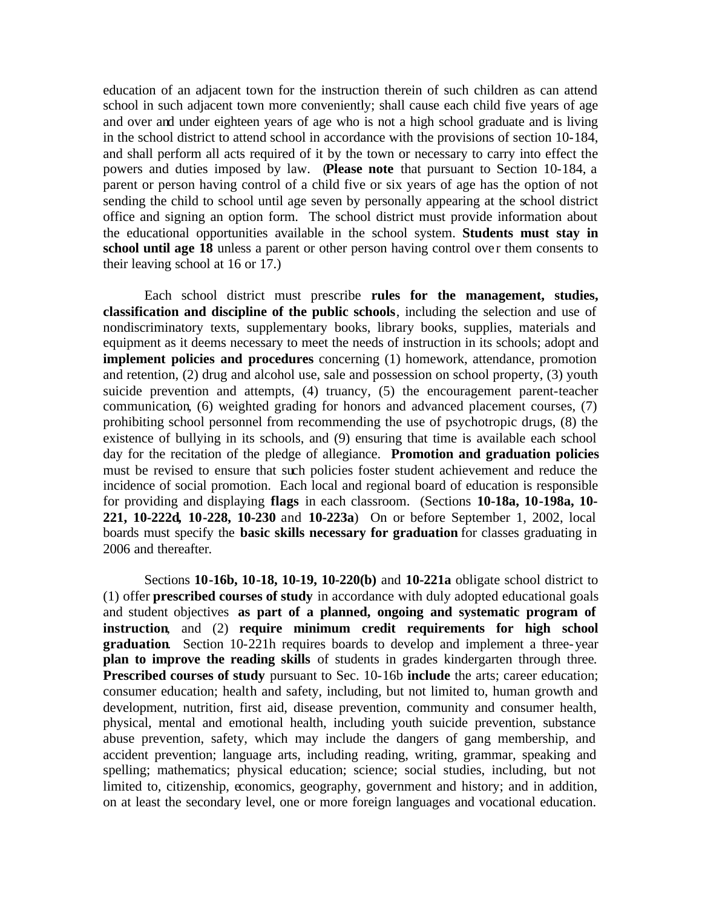education of an adjacent town for the instruction therein of such children as can attend school in such adjacent town more conveniently; shall cause each child five years of age and over and under eighteen years of age who is not a high school graduate and is living in the school district to attend school in accordance with the provisions of section 10-184, and shall perform all acts required of it by the town or necessary to carry into effect the powers and duties imposed by law. (**Please note** that pursuant to Section 10-184, a parent or person having control of a child five or six years of age has the option of not sending the child to school until age seven by personally appearing at the school district office and signing an option form. The school district must provide information about the educational opportunities available in the school system. **Students must stay in**  school until age 18 unless a parent or other person having control over them consents to their leaving school at 16 or 17.)

Each school district must prescribe **rules for the management, studies, classification and discipline of the public schools**, including the selection and use of nondiscriminatory texts, supplementary books, library books, supplies, materials and equipment as it deems necessary to meet the needs of instruction in its schools; adopt and **implement policies and procedures** concerning (1) homework, attendance, promotion and retention, (2) drug and alcohol use, sale and possession on school property, (3) youth suicide prevention and attempts, (4) truancy, (5) the encouragement parent-teacher communication*,* (6) weighted grading for honors and advanced placement courses, (7) prohibiting school personnel from recommending the use of psychotropic drugs, (8) the existence of bullying in its schools, and (9) ensuring that time is available each school day for the recitation of the pledge of allegiance. **Promotion and graduation policies**  must be revised to ensure that such policies foster student achievement and reduce the incidence of social promotion. Each local and regional board of education is responsible for providing and displaying **flags** in each classroom. (Sections **10-18a, 10-198a, 10- 221, 10-222d***,* **10-228, 10-230** and **10-223a**) On or before September 1, 2002, local boards must specify the **basic skills necessary for graduation** for classes graduating in 2006 and thereafter*.* 

Sections **10-16b, 10-18, 10-19, 10-220(b)** and **10-221a** obligate school district to (1) offer **prescribed courses of study** in accordance with duly adopted educational goals and student objectives **as part of a planned, ongoing and systematic program of instruction**, and (2) **require minimum credit requirements for high school graduation**. Section 10-221h requires boards to develop and implement a three-year **plan to improve the reading skills** of students in grades kindergarten through three*.*  **Prescribed courses of study** pursuant to Sec. 10-16b **include** the arts; career education; consumer education; health and safety, including, but not limited to, human growth and development, nutrition, first aid, disease prevention, community and consumer health, physical, mental and emotional health, including youth suicide prevention, substance abuse prevention, safety, which may include the dangers of gang membership, and accident prevention; language arts, including reading, writing, grammar, speaking and spelling; mathematics; physical education; science; social studies, including, but not limited to, citizenship, economics, geography, government and history; and in addition, on at least the secondary level, one or more foreign languages and vocational education.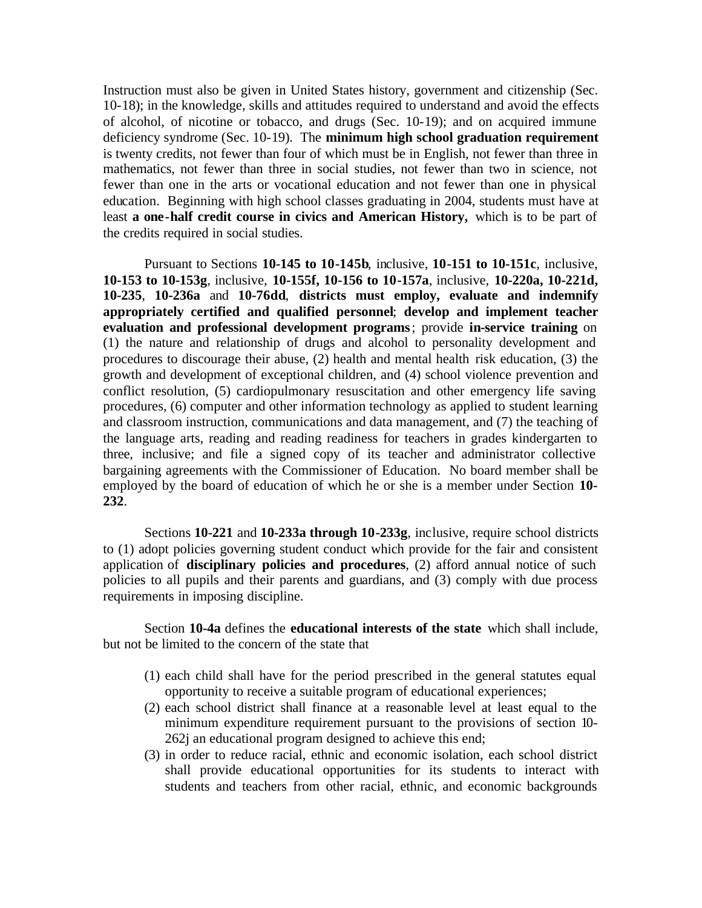Instruction must also be given in United States history, government and citizenship (Sec. 10-18); in the knowledge, skills and attitudes required to understand and avoid the effects of alcohol, of nicotine or tobacco, and drugs (Sec. 10-19); and on acquired immune deficiency syndrome (Sec. 10-19). The **minimum high school graduation requirement**  is twenty credits, not fewer than four of which must be in English, not fewer than three in mathematics, not fewer than three in social studies, not fewer than two in science, not fewer than one in the arts or vocational education and not fewer than one in physical education. Beginning with high school classes graduating in 2004, students must have at least **a one-half credit course in civics and American History,** which is to be part of the credits required in social studies.

Pursuant to Sections **10-145 to 10-145b**, inclusive, **10-151 to 10-151c**, inclusive, **10-153 to 10-153g**, inclusive, **10-155f, 10-156 to 10-157a**, inclusive, **10-220a, 10-221d, 10-235**, **10-236a** and **10-76dd**, **districts must employ, evaluate and indemnify appropriately certified and qualified personnel**; **develop and implement teacher evaluation and professional development programs** ; provide **in-service training** on (1) the nature and relationship of drugs and alcohol to personality development and procedures to discourage their abuse, (2) health and mental health risk education, (3) the growth and development of exceptional children, and (4) school violence prevention and conflict resolution, (5) cardiopulmonary resuscitation and other emergency life saving procedures, (6) computer and other information technology as applied to student learning and classroom instruction, communications and data management, and (7) the teaching of the language arts, reading and reading readiness for teachers in grades kindergarten to three*,* inclusive; and file a signed copy of its teacher and administrator collective bargaining agreements with the Commissioner of Education. No board member shall be employed by the board of education of which he or she is a member under Section **10- 232**.

Sections **10-221** and **10-233a through 10-233g**, inclusive, require school districts to (1) adopt policies governing student conduct which provide for the fair and consistent application of **disciplinary policies and procedures**, (2) afford annual notice of such policies to all pupils and their parents and guardians, and (3) comply with due process requirements in imposing discipline.

Section **10-4a** defines the **educational interests of the state** which shall include, but not be limited to the concern of the state that

- (1) each child shall have for the period prescribed in the general statutes equal opportunity to receive a suitable program of educational experiences;
- (2) each school district shall finance at a reasonable level at least equal to the minimum expenditure requirement pursuant to the provisions of section 10- 262j an educational program designed to achieve this end;
- (3) in order to reduce racial, ethnic and economic isolation, each school district shall provide educational opportunities for its students to interact with students and teachers from other racial, ethnic, and economic backgrounds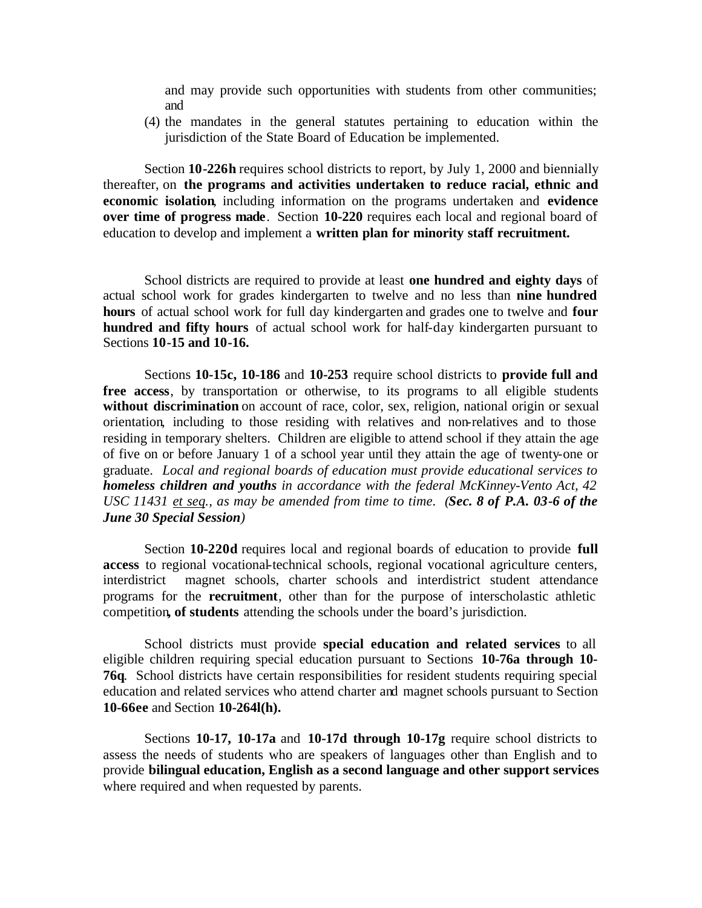and may provide such opportunities with students from other communities; and

(4) the mandates in the general statutes pertaining to education within the jurisdiction of the State Board of Education be implemented.

Section **10-226h** requires school districts to report, by July 1, 2000 and biennially thereafter, on **the programs and activities undertaken to reduce racial, ethnic and economic isolation**, including information on the programs undertaken and **evidence over time of progress made**. Section **10-220** requires each local and regional board of education to develop and implement a **written plan for minority staff recruitment.** 

School districts are required to provide at least **one hundred and eighty days** of actual school work for grades kindergarten to twelve and no less than **nine hundred hours** of actual school work for full day kindergarten and grades one to twelve and **four hundred and fifty hours** of actual school work for half-day kindergarten pursuant to Sections **10-15 and 10-16.** 

Sections **10-15c, 10-186** and **10-253** require school districts to **provide full and free access**, by transportation or otherwise, to its programs to all eligible students without discrimination on account of race, color, sex, religion, national origin or sexual orientation*,* including to those residing with relatives and non-relatives and to those residing in temporary shelters. Children are eligible to attend school if they attain the age of five on or before January 1 of a school year until they attain the age of twenty-one or graduate. *Local and regional boards of education must provide educational services to homeless children and youths in accordance with the federal McKinney-Vento Act, 42 USC 11431 et seq., as may be amended from time to time. (Sec. 8 of P.A. 03-6 of the June 30 Special Session)* 

Section **10-220d** requires local and regional boards of education to provide **full access** to regional vocational-technical schools, regional vocational agriculture centers, interdistrict magnet schools, charter schools and interdistrict student attendance programs for the **recruitment**, other than for the purpose of interscholastic athletic competition**, of students** attending the schools under the board's jurisdiction.

School districts must provide **special education and related services** to all eligible children requiring special education pursuant to Sections **10-76a through 10- 76q**. School districts have certain responsibilities for resident students requiring special education and related services who attend charter and magnet schools pursuant to Section **10-66ee** and Section **10-264l(h).** 

Sections **10-17, 10-17a** and **10-17d through 10-17g** require school districts to assess the needs of students who are speakers of languages other than English and to provide **bilingual education, English as a second language and other support services**  where required and when requested by parents.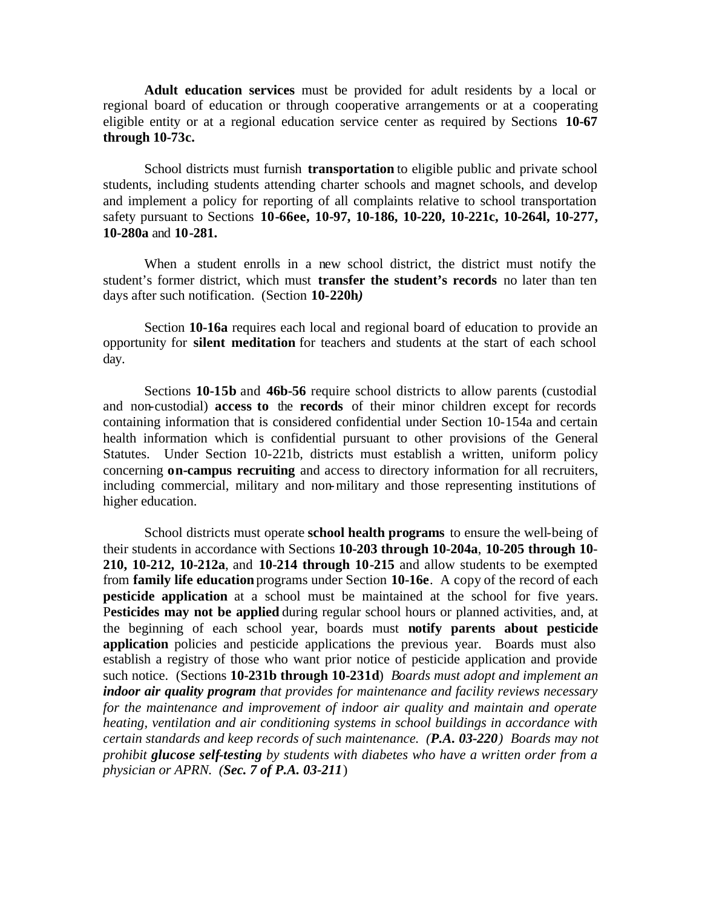**Adult education services** must be provided for adult residents by a local or regional board of education or through cooperative arrangements or at a cooperating eligible entity or at a regional education service center as required by Sections **10-67 through 10-73c.** 

School districts must furnish **transportation** to eligible public and private school students, including students attending charter schools and magnet schools, and develop and implement a policy for reporting of all complaints relative to school transportation safety pursuant to Sections **10-66ee, 10-97, 10-186, 10-220, 10-221c, 10-264l, 10-277, 10-280a** and **10-281.** 

When a student enrolls in a new school district, the district must notify the student's former district, which must **transfer the student's records** no later than ten days after such notification. (Section **10-220h***)* 

Section **10-16a** requires each local and regional board of education to provide an opportunity for **silent meditation** for teachers and students at the start of each school day.

Sections **10-15b** and **46b-56** require school districts to allow parents (custodial and non-custodial) **access to** the **records** of their minor children except for records containing information that is considered confidential under Section 10-154a and certain health information which is confidential pursuant to other provisions of the General Statutes. Under Section 10-221b, districts must establish a written, uniform policy concerning **on-campus recruiting** and access to directory information for all recruiters, including commercial, military and non-military and those representing institutions of higher education.

School districts must operate **school health programs** to ensure the well-being of their students in accordance with Sections **10-203 through 10-204a**, **10-205 through 10**- **210, 10-212, 10-212a**, and **10-214 through 10-215** and allow students to be exempted from **family life education** programs under Section **10-16e**. A copy of the record of each **pesticide application** at a school must be maintained at the school for five years. P**esticides may not be applied** during regular school hours or planned activities, and, at the beginning of each school year, boards must **notify parents about pesticide application** policies and pesticide applications the previous year. Boards must also establish a registry of those who want prior notice of pesticide application and provide such notice. (Sections **10-231b through 10-231d**) *Boards must adopt and implement an indoor air quality program that provides for maintenance and facility reviews necessary for the maintenance and improvement of indoor air quality and maintain and operate heating, ventilation and air conditioning systems in school buildings in accordance with certain standards and keep records of such maintenance. (P.A. 03-220) Boards may not prohibit glucose self-testing by students with diabetes who have a written order from a physician or APRN. (Sec. 7 of P.A. 03-211*)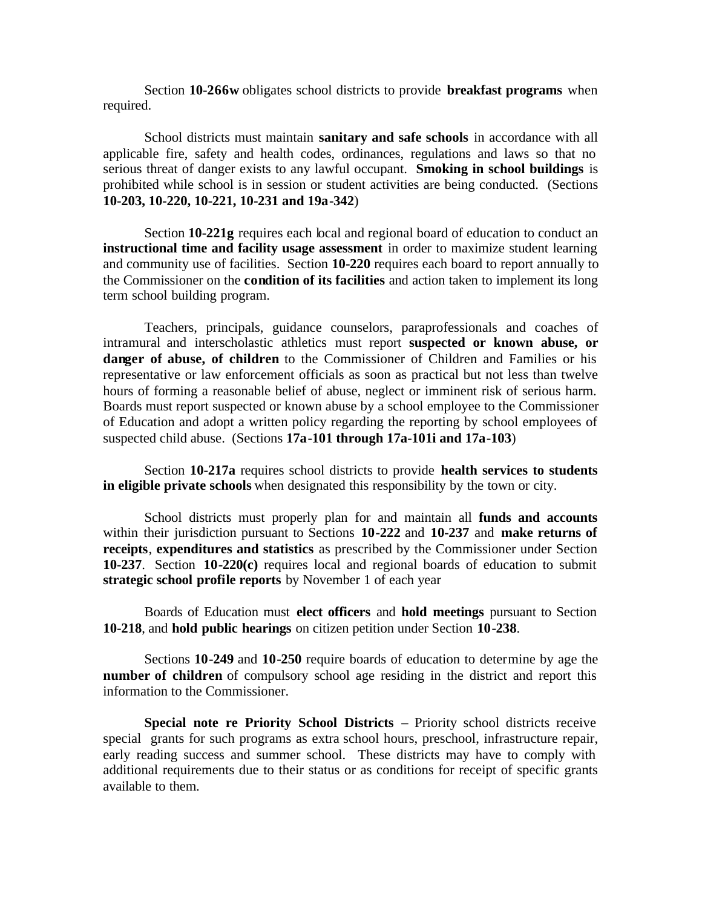Section **10-266w** obligates school districts to provide **breakfast programs** when required.

School districts must maintain **sanitary and safe schools** in accordance with all applicable fire, safety and health codes, ordinances, regulations and laws so that no serious threat of danger exists to any lawful occupant. **Smoking in school buildings** is prohibited while school is in session or student activities are being conducted. (Sections **10-203, 10-220, 10-221, 10-231 and 19a-342**)

Section **10-221g** requires each local and regional board of education to conduct an **instructional time and facility usage assessment** in order to maximize student learning and community use of facilities. Section **10-220** requires each board to report annually to the Commissioner on the **condition of its facilities** and action taken to implement its long term school building program.

Teachers, principals, guidance counselors, paraprofessionals and coaches of intramural and interscholastic athletics must report **suspected or known abuse, or danger of abuse, of children** to the Commissioner of Children and Families or his representative or law enforcement officials as soon as practical but not less than twelve hours of forming a reasonable belief of abuse, neglect or imminent risk of serious harm. Boards must report suspected or known abuse by a school employee to the Commissioner of Education and adopt a written policy regarding the reporting by school employees of suspected child abuse. (Sections **17a-101 through 17a-101i and 17a-103**)

Section **10-217a** requires school districts to provide **health services to students in eligible private schools** when designated this responsibility by the town or city.

School districts must properly plan for and maintain all **funds and accounts**  within their jurisdiction pursuant to Sections **10-222** and **10-237** and **make returns of receipts**, **expenditures and statistics** as prescribed by the Commissioner under Section **10-237**. Section **10-220(c)** requires local and regional boards of education to submit **strategic school profile reports** by November 1 of each year

Boards of Education must **elect officers** and **hold meetings** pursuant to Section **10-218**, and **hold public hearings** on citizen petition under Section **10-238**.

Sections **10-249** and **10-250** require boards of education to determine by age the **number of children** of compulsory school age residing in the district and report this information to the Commissioner.

**Special note re Priority School Districts** – Priority school districts receive special grants for such programs as extra school hours, preschool, infrastructure repair, early reading success and summer school. These districts may have to comply with additional requirements due to their status or as conditions for receipt of specific grants available to them.